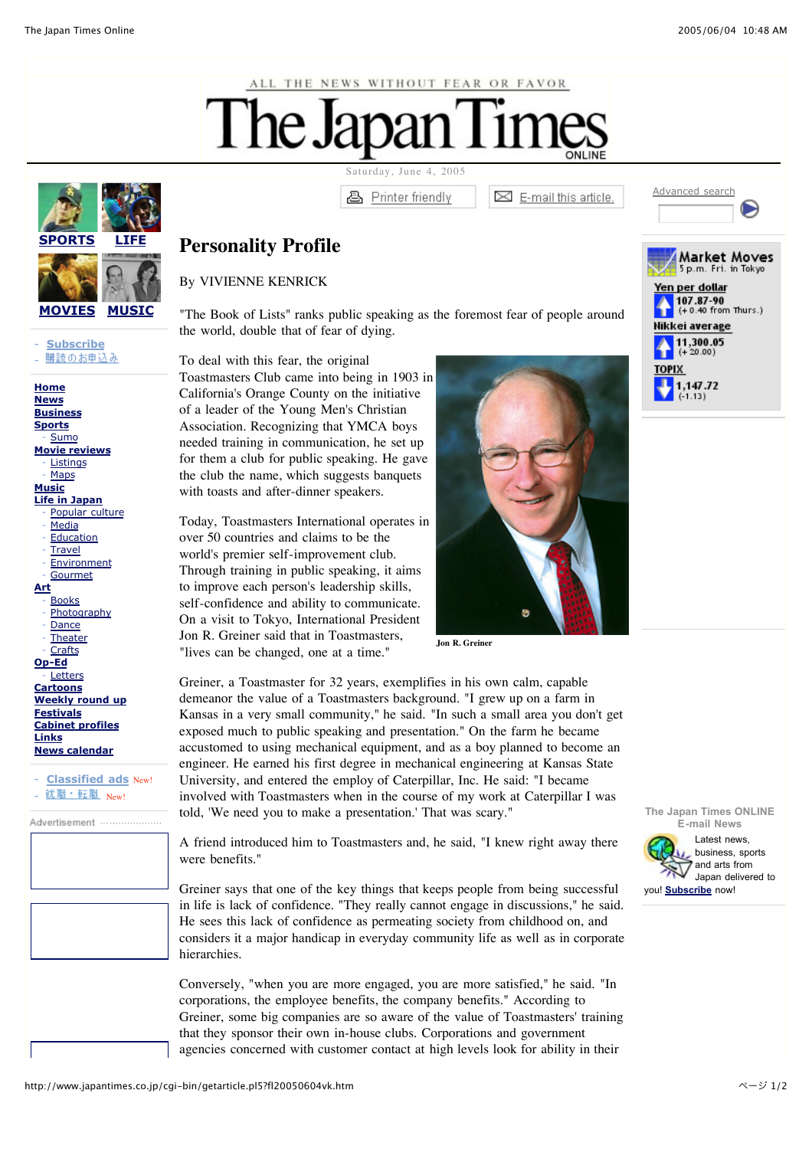



- **Subscribe** 購読のお申込み -

**Home News Business Sports** - Sumo **Movie reviews Listings Maps Music Life in Japan** Popular culture Media **Education Travel Environment Gourmet Art Books** Photography Dance **Theater Crafts Op-Ed Letters Cartoons Weekly round up Festivals Cabinet profiles Links News calendar**

- **Classified ads** New! 就職·転職 New!

Advertisement ....................

Saturday, June 4, 2005

**图** Printer friendly

 $\boxtimes$  E-mail this article.

Advanced search

Market Moves

## **Personality Profile**

## By VIVIENNE KENRICK

"The Book of Lists" ranks public speaking as the foremost fear of people around the world, double that of fear of dying.

To deal with this fear, the original Toastmasters Club came into being in 1903 in California's Orange County on the initiative of a leader of the Young Men's Christian Association. Recognizing that YMCA boys needed training in communication, he set up for them a club for public speaking. He gave the club the name, which suggests banquets with toasts and after-dinner speakers.

Today, Toastmasters International operates in over 50 countries and claims to be the world's premier self-improvement club. Through training in public speaking, it aims to improve each person's leadership skills, self-confidence and ability to communicate. On a visit to Tokyo, International President Jon R. Greiner said that in Toastmasters, "lives can be changed, one at a time."



**Jon R. Greiner**

Greiner, a Toastmaster for 32 years, exemplifies in his own calm, capable demeanor the value of a Toastmasters background. "I grew up on a farm in Kansas in a very small community," he said. "In such a small area you don't get exposed much to public speaking and presentation." On the farm he became accustomed to using mechanical equipment, and as a boy planned to become an engineer. He earned his first degree in mechanical engineering at Kansas State University, and entered the employ of Caterpillar, Inc. He said: "I became involved with Toastmasters when in the course of my work at Caterpillar I was told, 'We need you to make a presentation.' That was scary."

A friend introduced him to Toastmasters and, he said, "I knew right away there were benefits."

Greiner says that one of the key things that keeps people from being successful in life is lack of confidence. "They really cannot engage in discussions," he said. He sees this lack of confidence as permeating society from childhood on, and considers it a major handicap in everyday community life as well as in corporate hierarchies.

Conversely, "when you are more engaged, you are more satisfied," he said. "In corporations, the employee benefits, the company benefits." According to Greiner, some big companies are so aware of the value of Toastmasters' training that they sponsor their own in-house clubs. Corporations and government agencies concerned with customer contact at high levels look for ability in their